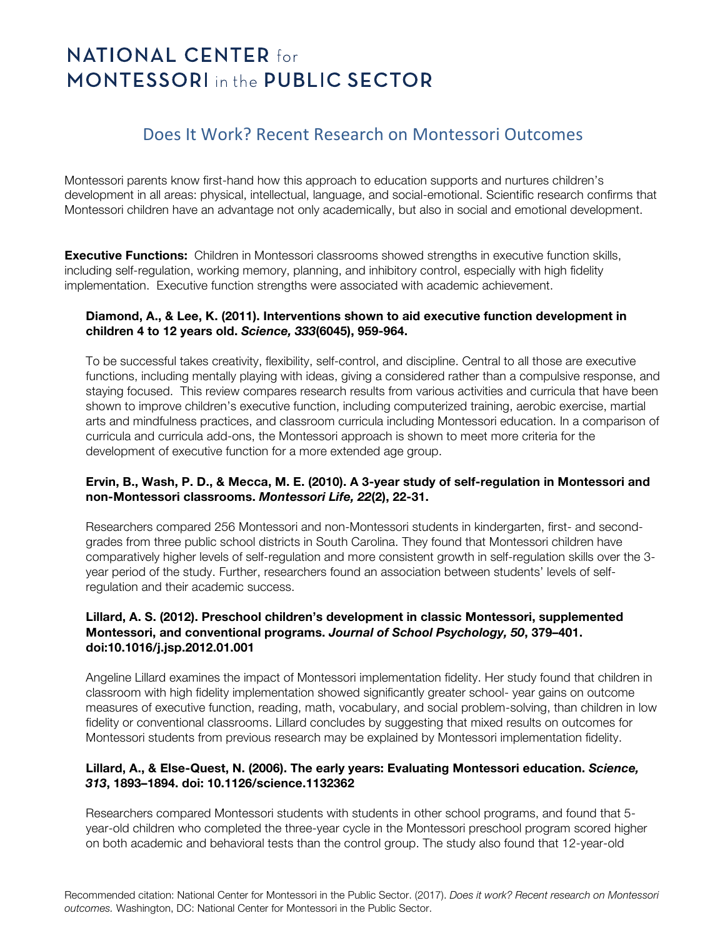# **NATIONAL CENTER for MONTESSORI** in the PUBLIC SECTOR

# Does It Work? Recent Research on Montessori Outcomes

Montessori parents know first-hand how this approach to education supports and nurtures children's development in all areas: physical, intellectual, language, and social-emotional. Scientific research confirms that Montessori children have an advantage not only academically, but also in social and emotional development.

**Executive Functions:** Children in Montessori classrooms showed strengths in executive function skills, including self-regulation, working memory, planning, and inhibitory control, especially with high fidelity implementation. Executive function strengths were associated with academic achievement.

## **Diamond, A., & Lee, K. (2011). Interventions shown to aid executive function development in children 4 to 12 years old.** *Science, 333***(6045), 959-964.**

To be successful takes creativity, flexibility, self-control, and discipline. Central to all those are executive functions, including mentally playing with ideas, giving a considered rather than a compulsive response, and staying focused. This review compares research results from various activities and curricula that have been shown to improve children's executive function, including computerized training, aerobic exercise, martial arts and mindfulness practices, and classroom curricula including Montessori education. In a comparison of curricula and curricula add-ons, the Montessori approach is shown to meet more criteria for the development of executive function for a more extended age group.

## **Ervin, B., Wash, P. D., & Mecca, M. E. (2010). A 3-year study of self-regulation in Montessori and non-Montessori classrooms.** *Montessori Life, 22***(2), 22-31.**

Researchers compared 256 Montessori and non-Montessori students in kindergarten, first- and secondgrades from three public school districts in South Carolina. They found that Montessori children have comparatively higher levels of self-regulation and more consistent growth in self-regulation skills over the 3 year period of the study. Further, researchers found an association between students' levels of selfregulation and their academic success.

#### **Lillard, A. S. (2012). Preschool children's development in classic Montessori, supplemented Montessori, and conventional programs.** *Journal of School Psychology, 50***, 379–401. doi:10.1016/j.jsp.2012.01.001**

Angeline Lillard examines the impact of Montessori implementation fidelity. Her study found that children in classroom with high fidelity implementation showed significantly greater school- year gains on outcome measures of executive function, reading, math, vocabulary, and social problem-solving, than children in low fidelity or conventional classrooms. Lillard concludes by suggesting that mixed results on outcomes for Montessori students from previous research may be explained by Montessori implementation fidelity.

## **Lillard, A., & Else-Quest, N. (2006). The early years: Evaluating Montessori education.** *Science, 313***, 1893–1894. doi: 10.1126/science.1132362**

Researchers compared Montessori students with students in other school programs, and found that 5 year-old children who completed the three-year cycle in the Montessori preschool program scored higher on both academic and behavioral tests than the control group. The study also found that 12-year-old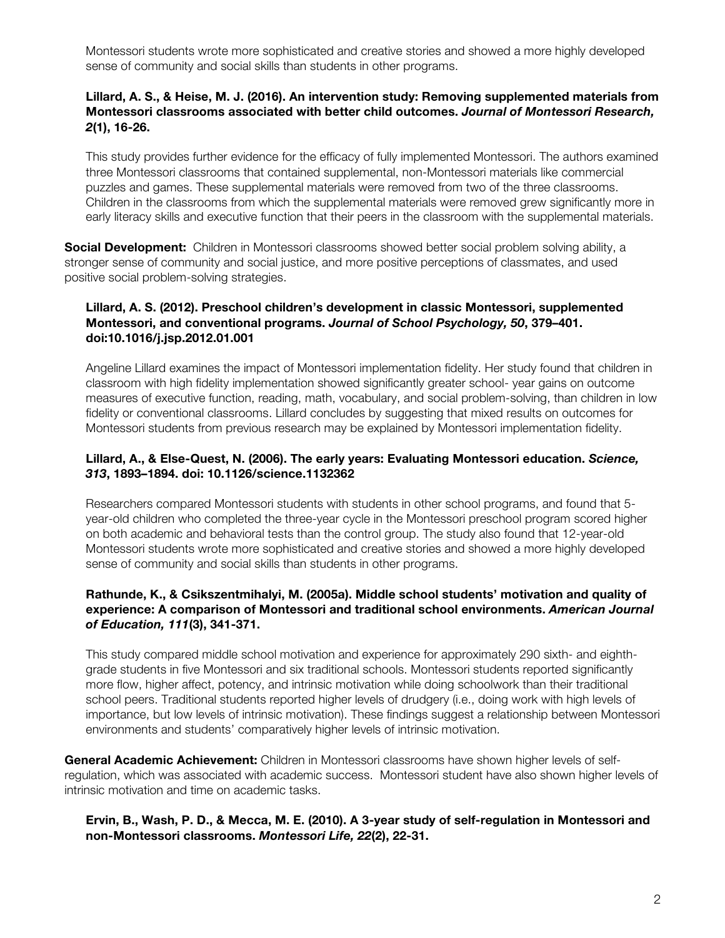Montessori students wrote more sophisticated and creative stories and showed a more highly developed sense of community and social skills than students in other programs.

#### **Lillard, A. S., & Heise, M. J. (2016). An intervention study: Removing supplemented materials from Montessori classrooms associated with better child outcomes.** *Journal of Montessori Research, 2***(1), 16-26.**

This study provides further evidence for the efficacy of fully implemented Montessori. The authors examined three Montessori classrooms that contained supplemental, non-Montessori materials like commercial puzzles and games. These supplemental materials were removed from two of the three classrooms. Children in the classrooms from which the supplemental materials were removed grew significantly more in early literacy skills and executive function that their peers in the classroom with the supplemental materials.

**Social Development:** Children in Montessori classrooms showed better social problem solving ability, a stronger sense of community and social justice, and more positive perceptions of classmates, and used positive social problem-solving strategies.

#### **Lillard, A. S. (2012). Preschool children's development in classic Montessori, supplemented Montessori, and conventional programs.** *Journal of School Psychology, 50***, 379–401. doi:10.1016/j.jsp.2012.01.001**

Angeline Lillard examines the impact of Montessori implementation fidelity. Her study found that children in classroom with high fidelity implementation showed significantly greater school- year gains on outcome measures of executive function, reading, math, vocabulary, and social problem-solving, than children in low fidelity or conventional classrooms. Lillard concludes by suggesting that mixed results on outcomes for Montessori students from previous research may be explained by Montessori implementation fidelity.

## **Lillard, A., & Else-Quest, N. (2006). The early years: Evaluating Montessori education.** *Science, 313***, 1893–1894. doi: 10.1126/science.1132362**

Researchers compared Montessori students with students in other school programs, and found that 5 year-old children who completed the three-year cycle in the Montessori preschool program scored higher on both academic and behavioral tests than the control group. The study also found that 12-year-old Montessori students wrote more sophisticated and creative stories and showed a more highly developed sense of community and social skills than students in other programs.

#### **Rathunde, K., & Csikszentmihalyi, M. (2005a). Middle school students' motivation and quality of experience: A comparison of Montessori and traditional school environments.** *American Journal of Education, 111***(3), 341-371.**

This study compared middle school motivation and experience for approximately 290 sixth- and eighthgrade students in five Montessori and six traditional schools. Montessori students reported significantly more flow, higher affect, potency, and intrinsic motivation while doing schoolwork than their traditional school peers. Traditional students reported higher levels of drudgery (i.e., doing work with high levels of importance, but low levels of intrinsic motivation). These findings suggest a relationship between Montessori environments and students' comparatively higher levels of intrinsic motivation.

**General Academic Achievement:** Children in Montessori classrooms have shown higher levels of selfregulation, which was associated with academic success. Montessori student have also shown higher levels of intrinsic motivation and time on academic tasks.

## **Ervin, B., Wash, P. D., & Mecca, M. E. (2010). A 3-year study of self-regulation in Montessori and non-Montessori classrooms.** *Montessori Life, 22***(2), 22-31.**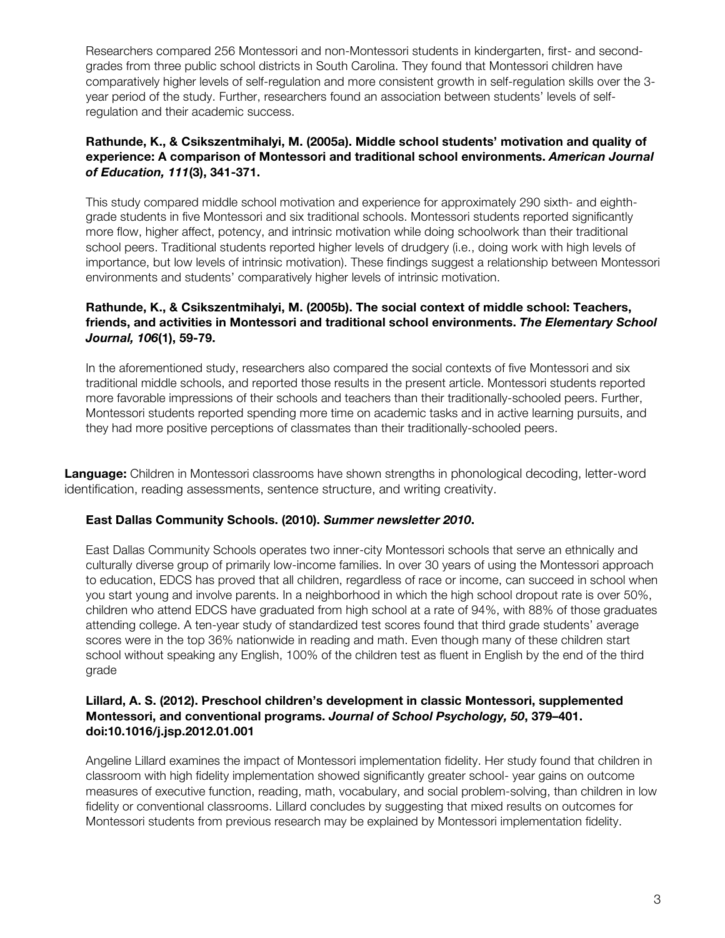Researchers compared 256 Montessori and non-Montessori students in kindergarten, first- and secondgrades from three public school districts in South Carolina. They found that Montessori children have comparatively higher levels of self-regulation and more consistent growth in self-regulation skills over the 3 year period of the study. Further, researchers found an association between students' levels of selfregulation and their academic success.

# **Rathunde, K., & Csikszentmihalyi, M. (2005a). Middle school students' motivation and quality of experience: A comparison of Montessori and traditional school environments.** *American Journal of Education, 111***(3), 341-371.**

This study compared middle school motivation and experience for approximately 290 sixth- and eighthgrade students in five Montessori and six traditional schools. Montessori students reported significantly more flow, higher affect, potency, and intrinsic motivation while doing schoolwork than their traditional school peers. Traditional students reported higher levels of drudgery (i.e., doing work with high levels of importance, but low levels of intrinsic motivation). These findings suggest a relationship between Montessori environments and students' comparatively higher levels of intrinsic motivation.

# **Rathunde, K., & Csikszentmihalyi, M. (2005b). The social context of middle school: Teachers, friends, and activities in Montessori and traditional school environments.** *The Elementary School Journal, 106***(1), 59-79.**

In the aforementioned study, researchers also compared the social contexts of five Montessori and six traditional middle schools, and reported those results in the present article. Montessori students reported more favorable impressions of their schools and teachers than their traditionally-schooled peers. Further, Montessori students reported spending more time on academic tasks and in active learning pursuits, and they had more positive perceptions of classmates than their traditionally-schooled peers.

**Language:** Children in Montessori classrooms have shown strengths in phonological decoding, letter-word identification, reading assessments, sentence structure, and writing creativity.

#### **East Dallas Community Schools. (2010).** *Summer newsletter 2010***.**

East Dallas Community Schools operates two inner-city Montessori schools that serve an ethnically and culturally diverse group of primarily low-income families. In over 30 years of using the Montessori approach to education, EDCS has proved that all children, regardless of race or income, can succeed in school when you start young and involve parents. In a neighborhood in which the high school dropout rate is over 50%, children who attend EDCS have graduated from high school at a rate of 94%, with 88% of those graduates attending college. A ten-year study of standardized test scores found that third grade students' average scores were in the top 36% nationwide in reading and math. Even though many of these children start school without speaking any English, 100% of the children test as fluent in English by the end of the third grade

#### **Lillard, A. S. (2012). Preschool children's development in classic Montessori, supplemented Montessori, and conventional programs.** *Journal of School Psychology, 50***, 379–401. doi:10.1016/j.jsp.2012.01.001**

Angeline Lillard examines the impact of Montessori implementation fidelity. Her study found that children in classroom with high fidelity implementation showed significantly greater school- year gains on outcome measures of executive function, reading, math, vocabulary, and social problem-solving, than children in low fidelity or conventional classrooms. Lillard concludes by suggesting that mixed results on outcomes for Montessori students from previous research may be explained by Montessori implementation fidelity.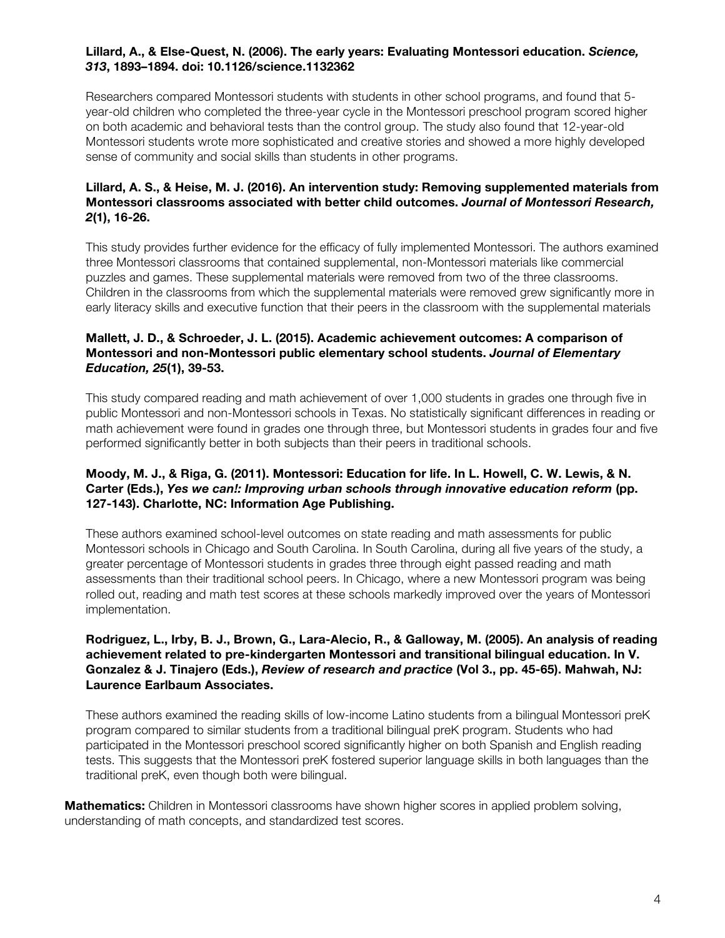# **Lillard, A., & Else-Quest, N. (2006). The early years: Evaluating Montessori education.** *Science, 313***, 1893–1894. doi: 10.1126/science.1132362**

Researchers compared Montessori students with students in other school programs, and found that 5 year-old children who completed the three-year cycle in the Montessori preschool program scored higher on both academic and behavioral tests than the control group. The study also found that 12-year-old Montessori students wrote more sophisticated and creative stories and showed a more highly developed sense of community and social skills than students in other programs.

# **Lillard, A. S., & Heise, M. J. (2016). An intervention study: Removing supplemented materials from Montessori classrooms associated with better child outcomes.** *Journal of Montessori Research, 2***(1), 16-26.**

This study provides further evidence for the efficacy of fully implemented Montessori. The authors examined three Montessori classrooms that contained supplemental, non-Montessori materials like commercial puzzles and games. These supplemental materials were removed from two of the three classrooms. Children in the classrooms from which the supplemental materials were removed grew significantly more in early literacy skills and executive function that their peers in the classroom with the supplemental materials

# **Mallett, J. D., & Schroeder, J. L. (2015). Academic achievement outcomes: A comparison of Montessori and non-Montessori public elementary school students.** *Journal of Elementary Education, 25***(1), 39-53.**

This study compared reading and math achievement of over 1,000 students in grades one through five in public Montessori and non-Montessori schools in Texas. No statistically significant differences in reading or math achievement were found in grades one through three, but Montessori students in grades four and five performed significantly better in both subjects than their peers in traditional schools.

# **Moody, M. J., & Riga, G. (2011). Montessori: Education for life. In L. Howell, C. W. Lewis, & N. Carter (Eds.),** *Yes we can!: Improving urban schools through innovative education reform* **(pp. 127-143). Charlotte, NC: Information Age Publishing.**

These authors examined school-level outcomes on state reading and math assessments for public Montessori schools in Chicago and South Carolina. In South Carolina, during all five years of the study, a greater percentage of Montessori students in grades three through eight passed reading and math assessments than their traditional school peers. In Chicago, where a new Montessori program was being rolled out, reading and math test scores at these schools markedly improved over the years of Montessori implementation.

# **Rodriguez, L., Irby, B. J., Brown, G., Lara-Alecio, R., & Galloway, M. (2005). An analysis of reading achievement related to pre-kindergarten Montessori and transitional bilingual education. In V. Gonzalez & J. Tinajero (Eds.),** *Review of research and practice* **(Vol 3., pp. 45-65). Mahwah, NJ: Laurence Earlbaum Associates.**

These authors examined the reading skills of low-income Latino students from a bilingual Montessori preK program compared to similar students from a traditional bilingual preK program. Students who had participated in the Montessori preschool scored significantly higher on both Spanish and English reading tests. This suggests that the Montessori preK fostered superior language skills in both languages than the traditional preK, even though both were bilingual.

**Mathematics:** Children in Montessori classrooms have shown higher scores in applied problem solving, understanding of math concepts, and standardized test scores.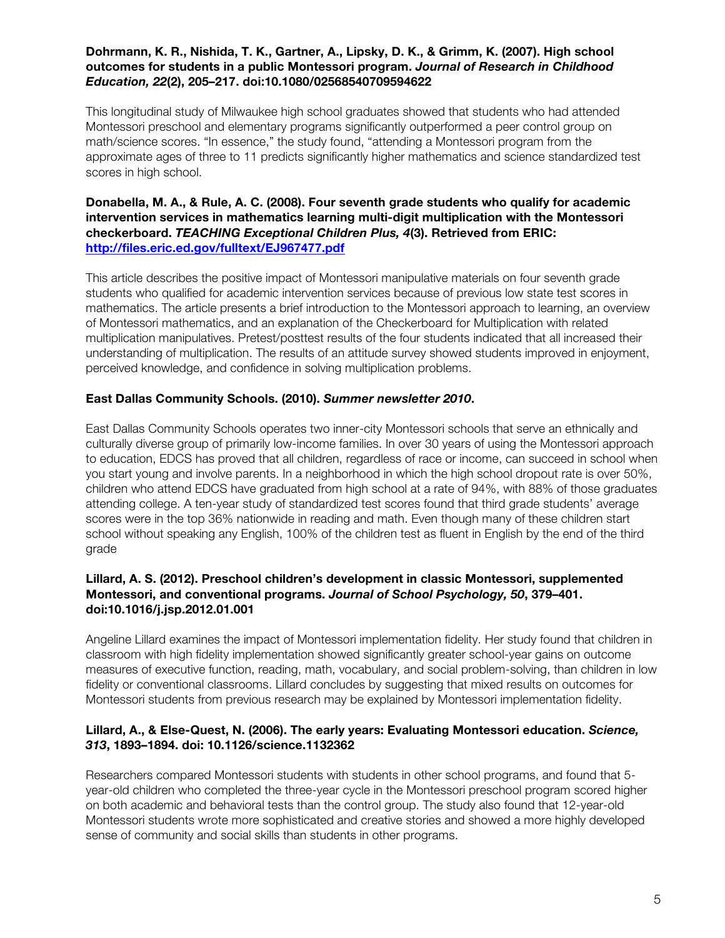#### **Dohrmann, K. R., Nishida, T. K., Gartner, A., Lipsky, D. K., & Grimm, K. (2007). High school outcomes for students in a public Montessori program.** *Journal of Research in Childhood Education, 22***(2), 205–217. doi:10.1080/02568540709594622**

This longitudinal study of Milwaukee high school graduates showed that students who had attended Montessori preschool and elementary programs significantly outperformed a peer control group on math/science scores. "In essence," the study found, "attending a Montessori program from the approximate ages of three to 11 predicts significantly higher mathematics and science standardized test scores in high school.

#### **Donabella, M. A., & Rule, A. C. (2008). Four seventh grade students who qualify for academic intervention services in mathematics learning multi-digit multiplication with the Montessori checkerboard.** *TEACHING Exceptional Children Plus, 4***(3). Retrieved from ERIC: http://files.eric.ed.gov/fulltext/EJ967477.pdf**

This article describes the positive impact of Montessori manipulative materials on four seventh grade students who qualified for academic intervention services because of previous low state test scores in mathematics. The article presents a brief introduction to the Montessori approach to learning, an overview of Montessori mathematics, and an explanation of the Checkerboard for Multiplication with related multiplication manipulatives. Pretest/posttest results of the four students indicated that all increased their understanding of multiplication. The results of an attitude survey showed students improved in enjoyment, perceived knowledge, and confidence in solving multiplication problems.

## **East Dallas Community Schools. (2010).** *Summer newsletter 2010***.**

East Dallas Community Schools operates two inner-city Montessori schools that serve an ethnically and culturally diverse group of primarily low-income families. In over 30 years of using the Montessori approach to education, EDCS has proved that all children, regardless of race or income, can succeed in school when you start young and involve parents. In a neighborhood in which the high school dropout rate is over 50%, children who attend EDCS have graduated from high school at a rate of 94%, with 88% of those graduates attending college. A ten-year study of standardized test scores found that third grade students' average scores were in the top 36% nationwide in reading and math. Even though many of these children start school without speaking any English, 100% of the children test as fluent in English by the end of the third grade

# **Lillard, A. S. (2012). Preschool children's development in classic Montessori, supplemented Montessori, and conventional programs.** *Journal of School Psychology, 50***, 379–401. doi:10.1016/j.jsp.2012.01.001**

Angeline Lillard examines the impact of Montessori implementation fidelity. Her study found that children in classroom with high fidelity implementation showed significantly greater school-year gains on outcome measures of executive function, reading, math, vocabulary, and social problem-solving, than children in low fidelity or conventional classrooms. Lillard concludes by suggesting that mixed results on outcomes for Montessori students from previous research may be explained by Montessori implementation fidelity.

## **Lillard, A., & Else-Quest, N. (2006). The early years: Evaluating Montessori education.** *Science, 313***, 1893–1894. doi: 10.1126/science.1132362**

Researchers compared Montessori students with students in other school programs, and found that 5 year-old children who completed the three-year cycle in the Montessori preschool program scored higher on both academic and behavioral tests than the control group. The study also found that 12-year-old Montessori students wrote more sophisticated and creative stories and showed a more highly developed sense of community and social skills than students in other programs.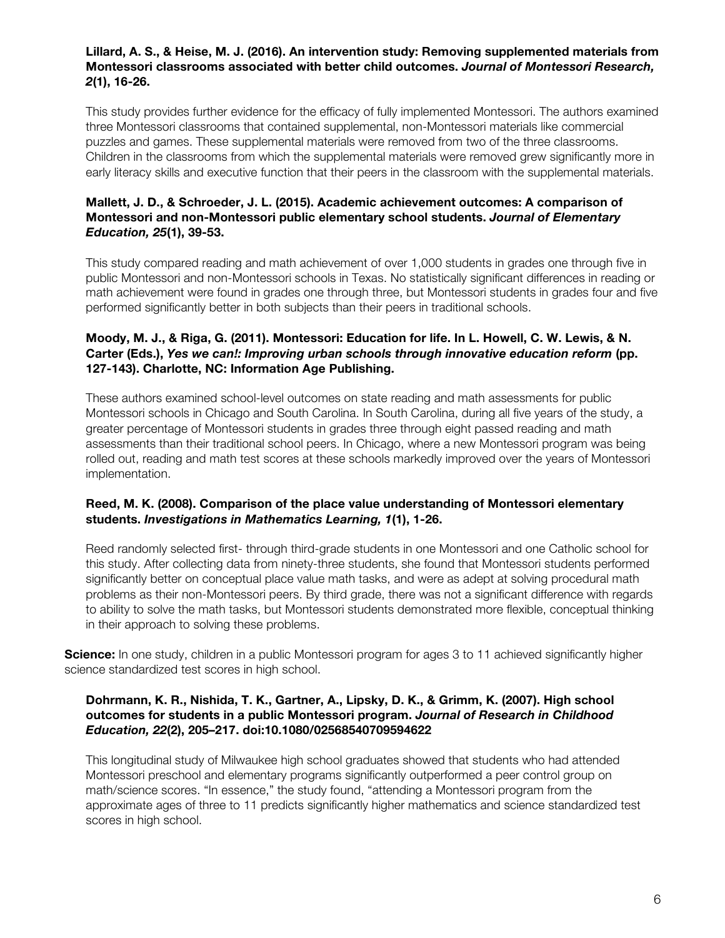#### **Lillard, A. S., & Heise, M. J. (2016). An intervention study: Removing supplemented materials from Montessori classrooms associated with better child outcomes.** *Journal of Montessori Research, 2***(1), 16-26.**

This study provides further evidence for the efficacy of fully implemented Montessori. The authors examined three Montessori classrooms that contained supplemental, non-Montessori materials like commercial puzzles and games. These supplemental materials were removed from two of the three classrooms. Children in the classrooms from which the supplemental materials were removed grew significantly more in early literacy skills and executive function that their peers in the classroom with the supplemental materials.

# **Mallett, J. D., & Schroeder, J. L. (2015). Academic achievement outcomes: A comparison of Montessori and non-Montessori public elementary school students.** *Journal of Elementary Education, 25***(1), 39-53.**

This study compared reading and math achievement of over 1,000 students in grades one through five in public Montessori and non-Montessori schools in Texas. No statistically significant differences in reading or math achievement were found in grades one through three, but Montessori students in grades four and five performed significantly better in both subjects than their peers in traditional schools.

# **Moody, M. J., & Riga, G. (2011). Montessori: Education for life. In L. Howell, C. W. Lewis, & N. Carter (Eds.),** *Yes we can!: Improving urban schools through innovative education reform* **(pp. 127-143). Charlotte, NC: Information Age Publishing.**

These authors examined school-level outcomes on state reading and math assessments for public Montessori schools in Chicago and South Carolina. In South Carolina, during all five years of the study, a greater percentage of Montessori students in grades three through eight passed reading and math assessments than their traditional school peers. In Chicago, where a new Montessori program was being rolled out, reading and math test scores at these schools markedly improved over the years of Montessori implementation.

# **Reed, M. K. (2008). Comparison of the place value understanding of Montessori elementary students.** *Investigations in Mathematics Learning, 1***(1), 1-26.**

Reed randomly selected first- through third-grade students in one Montessori and one Catholic school for this study. After collecting data from ninety-three students, she found that Montessori students performed significantly better on conceptual place value math tasks, and were as adept at solving procedural math problems as their non-Montessori peers. By third grade, there was not a significant difference with regards to ability to solve the math tasks, but Montessori students demonstrated more flexible, conceptual thinking in their approach to solving these problems.

**Science:** In one study, children in a public Montessori program for ages 3 to 11 achieved significantly higher science standardized test scores in high school.

# **Dohrmann, K. R., Nishida, T. K., Gartner, A., Lipsky, D. K., & Grimm, K. (2007). High school outcomes for students in a public Montessori program.** *Journal of Research in Childhood Education, 22***(2), 205–217. doi:10.1080/02568540709594622**

This longitudinal study of Milwaukee high school graduates showed that students who had attended Montessori preschool and elementary programs significantly outperformed a peer control group on math/science scores. "In essence," the study found, "attending a Montessori program from the approximate ages of three to 11 predicts significantly higher mathematics and science standardized test scores in high school.